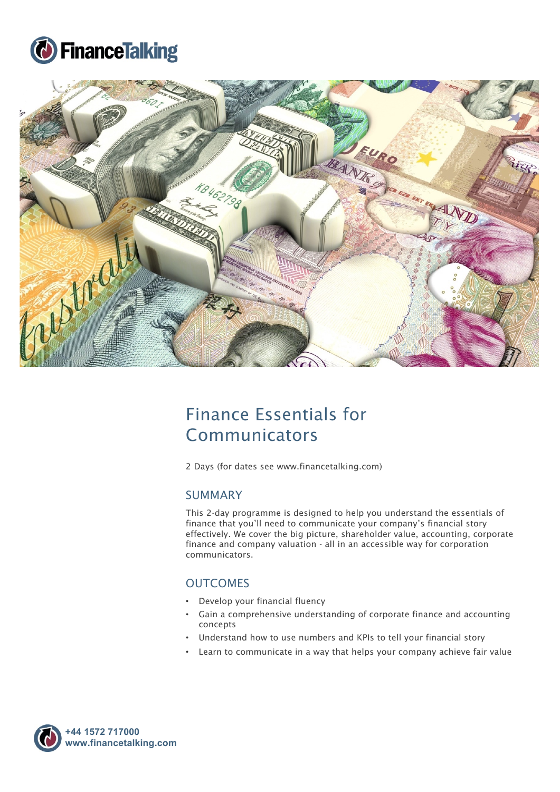



# Finance Essentials for Communicators

2 Days (for dates see www.financetalking.com)

### SUMMARY

This 2-day programme is designed to help you understand the essentials of finance that you'll need to communicate your company's financial story effectively. We cover the big picture, shareholder value, accounting, corporate finance and company valuation - all in an accessible way for corporation communicators.

## **OUTCOMES**

- Develop your financial fluency
- Gain a comprehensive understanding of corporate finance and accounting concepts
- Understand how to use numbers and KPIs to tell your financial story
- Learn to communicate in a way that helps your company achieve fair value